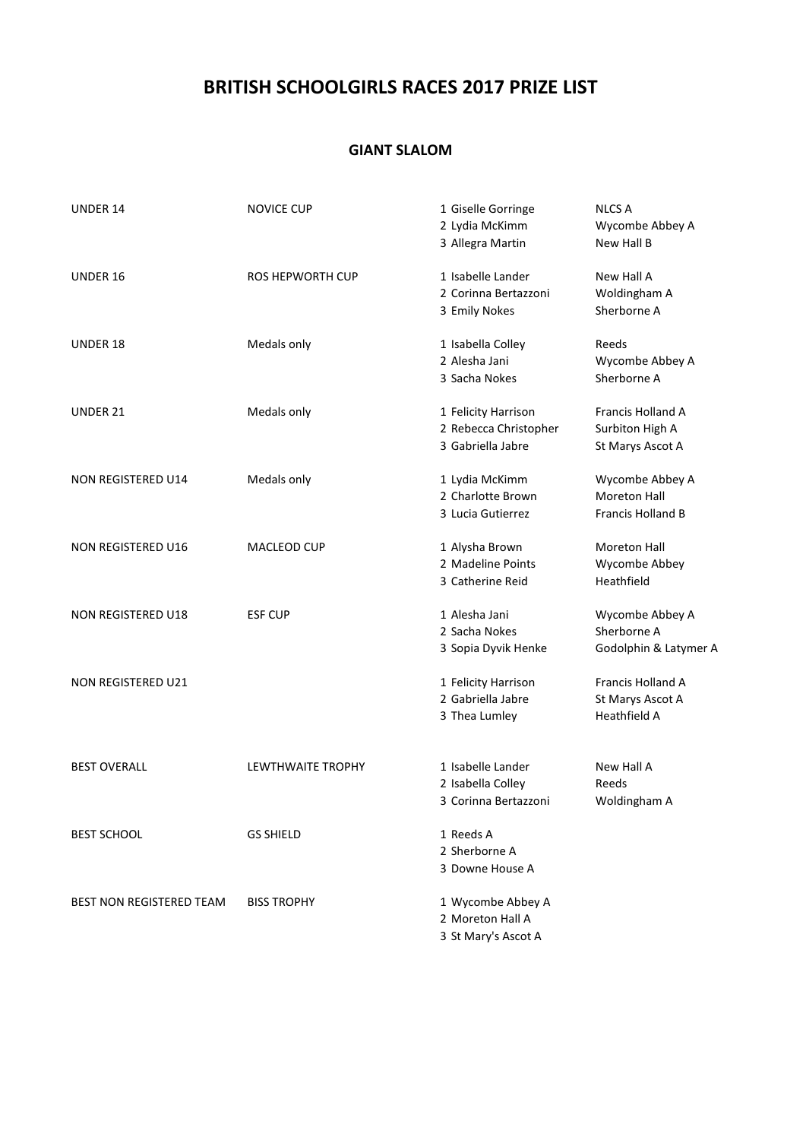# **BRITISH SCHOOLGIRLS RACES 2017 PRIZE LIST**

### **GIANT SLALOM**

| <b>UNDER 14</b>                 | <b>NOVICE CUP</b>        | 1 Giselle Gorringe<br>2 Lydia McKimm<br>3 Allegra Martin          | <b>NLCS A</b><br>Wycombe Abbey A<br>New Hall B              |
|---------------------------------|--------------------------|-------------------------------------------------------------------|-------------------------------------------------------------|
| UNDER 16                        | <b>ROS HEPWORTH CUP</b>  | 1 Isabelle Lander<br>2 Corinna Bertazzoni<br>3 Emily Nokes        | New Hall A<br>Woldingham A<br>Sherborne A                   |
| UNDER 18                        | Medals only              | 1 Isabella Colley<br>2 Alesha Jani<br>3 Sacha Nokes               | Reeds<br>Wycombe Abbey A<br>Sherborne A                     |
| UNDER 21                        | Medals only              | 1 Felicity Harrison<br>2 Rebecca Christopher<br>3 Gabriella Jabre | Francis Holland A<br>Surbiton High A<br>St Marys Ascot A    |
| NON REGISTERED U14              | Medals only              | 1 Lydia McKimm<br>2 Charlotte Brown<br>3 Lucia Gutierrez          | Wycombe Abbey A<br><b>Moreton Hall</b><br>Francis Holland B |
| NON REGISTERED U16              | MACLEOD CUP              | 1 Alysha Brown<br>2 Madeline Points<br>3 Catherine Reid           | Moreton Hall<br>Wycombe Abbey<br>Heathfield                 |
| <b>NON REGISTERED U18</b>       | <b>ESF CUP</b>           | 1 Alesha Jani<br>2 Sacha Nokes<br>3 Sopia Dyvik Henke             | Wycombe Abbey A<br>Sherborne A<br>Godolphin & Latymer A     |
| NON REGISTERED U21              |                          | 1 Felicity Harrison<br>2 Gabriella Jabre<br>3 Thea Lumley         | Francis Holland A<br>St Marys Ascot A<br>Heathfield A       |
| <b>BEST OVERALL</b>             | <b>LEWTHWAITE TROPHY</b> | 1 Isabelle Lander<br>2 Isabella Colley<br>3 Corinna Bertazzoni    | New Hall A<br>Reeds<br>Woldingham A                         |
| <b>BEST SCHOOL</b>              | <b>GS SHIELD</b>         | 1 Reeds A<br>2 Sherborne A<br>3 Downe House A                     |                                                             |
| <b>BEST NON REGISTERED TEAM</b> | <b>BISS TROPHY</b>       | 1 Wycombe Abbey A<br>2 Moreton Hall A<br>3 St Mary's Ascot A      |                                                             |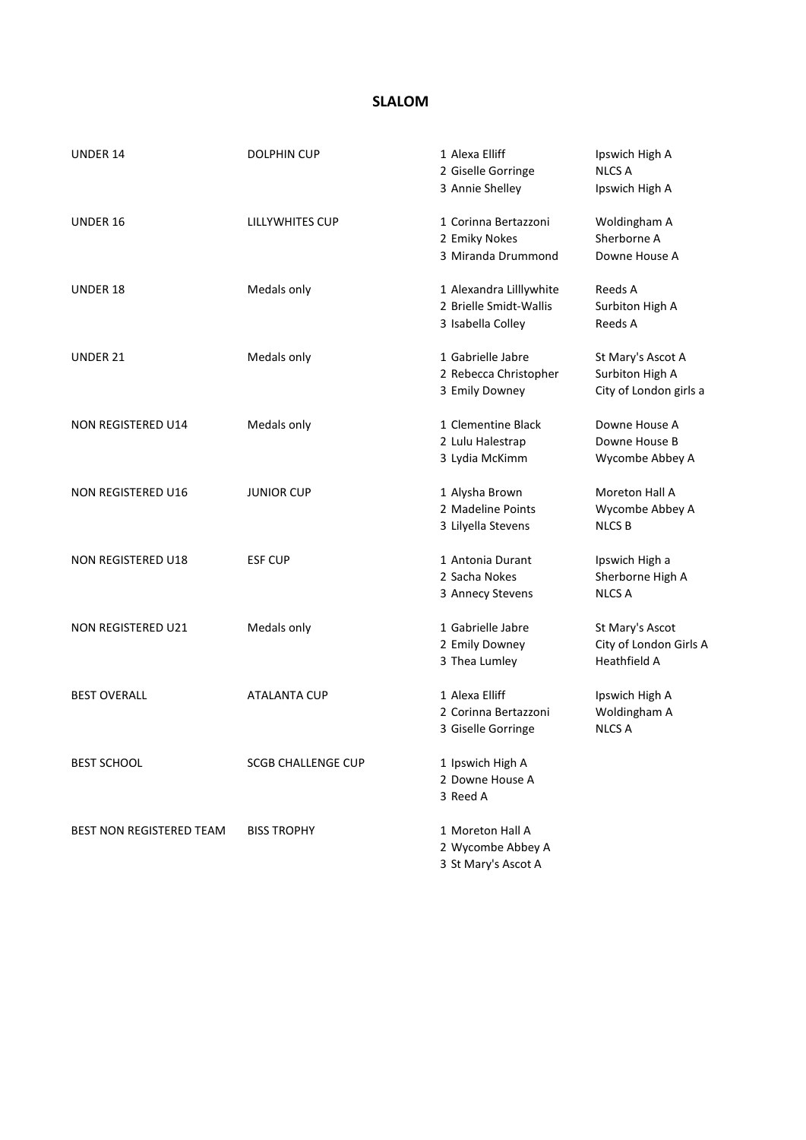## **SLALOM**

| <b>UNDER 14</b>           | <b>DOLPHIN CUP</b>        | 1 Alexa Elliff<br>2 Giselle Gorringe<br>3 Annie Shelley                | Ipswich High A<br><b>NLCS A</b><br>Ipswich High A              |
|---------------------------|---------------------------|------------------------------------------------------------------------|----------------------------------------------------------------|
| UNDER 16                  | LILLYWHITES CUP           | 1 Corinna Bertazzoni<br>2 Emiky Nokes<br>3 Miranda Drummond            | Woldingham A<br>Sherborne A<br>Downe House A                   |
| <b>UNDER 18</b>           | Medals only               | 1 Alexandra Lilllywhite<br>2 Brielle Smidt-Wallis<br>3 Isabella Colley | Reeds A<br>Surbiton High A<br>Reeds A                          |
| UNDER 21                  | Medals only               | 1 Gabrielle Jabre<br>2 Rebecca Christopher<br>3 Emily Downey           | St Mary's Ascot A<br>Surbiton High A<br>City of London girls a |
| <b>NON REGISTERED U14</b> | Medals only               | 1 Clementine Black<br>2 Lulu Halestrap<br>3 Lydia McKimm               | Downe House A<br>Downe House B<br>Wycombe Abbey A              |
| <b>NON REGISTERED U16</b> | <b>JUNIOR CUP</b>         | 1 Alysha Brown<br>2 Madeline Points<br>3 Lilyella Stevens              | Moreton Hall A<br>Wycombe Abbey A<br><b>NLCS B</b>             |
| NON REGISTERED U18        | <b>ESF CUP</b>            | 1 Antonia Durant<br>2 Sacha Nokes<br>3 Annecy Stevens                  | Ipswich High a<br>Sherborne High A<br><b>NLCS A</b>            |
| <b>NON REGISTERED U21</b> | Medals only               | 1 Gabrielle Jabre<br>2 Emily Downey<br>3 Thea Lumley                   | St Mary's Ascot<br>City of London Girls A<br>Heathfield A      |
| <b>BEST OVERALL</b>       | <b>ATALANTA CUP</b>       | 1 Alexa Elliff<br>2 Corinna Bertazzoni<br>3 Giselle Gorringe           | Ipswich High A<br>Woldingham A<br><b>NLCS A</b>                |
| <b>BEST SCHOOL</b>        | <b>SCGB CHALLENGE CUP</b> | 1 Ipswich High A<br>2 Downe House A<br>3 Reed A                        |                                                                |
| BEST NON REGISTERED TEAM  | <b>BISS TROPHY</b>        | 1 Moreton Hall A<br>2 Wycombe Abbey A<br>3 St Mary's Ascot A           |                                                                |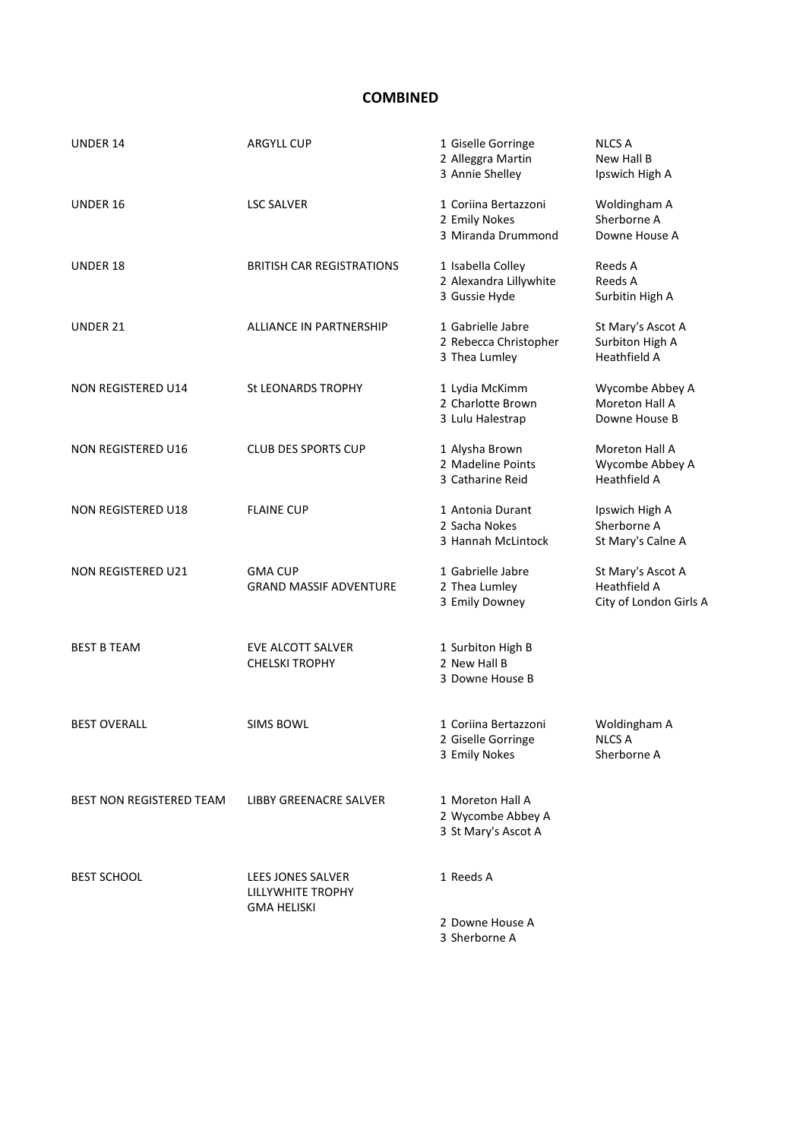### **COMBINED**

| UNDER 14                 | <b>ARGYLL CUP</b>                                                          | 1 Giselle Gorringe<br>2 Alleggra Martin<br>3 Annie Shelley   | <b>NLCS A</b><br>New Hall B<br>Ipswich High A               |
|--------------------------|----------------------------------------------------------------------------|--------------------------------------------------------------|-------------------------------------------------------------|
| UNDER 16                 | <b>LSC SALVER</b>                                                          | 1 Coriina Bertazzoni<br>2 Emily Nokes<br>3 Miranda Drummond  | Woldingham A<br>Sherborne A<br>Downe House A                |
| UNDER 18                 | <b>BRITISH CAR REGISTRATIONS</b>                                           | 1 Isabella Colley<br>2 Alexandra Lillywhite<br>3 Gussie Hyde | Reeds A<br>Reeds A<br>Surbitin High A                       |
| <b>UNDER 21</b>          | <b>ALLIANCE IN PARTNERSHIP</b>                                             | 1 Gabrielle Jabre<br>2 Rebecca Christopher<br>3 Thea Lumley  | St Mary's Ascot A<br>Surbiton High A<br><b>Heathfield A</b> |
| NON REGISTERED U14       | St LEONARDS TROPHY                                                         | 1 Lydia McKimm<br>2 Charlotte Brown<br>3 Lulu Halestrap      | Wycombe Abbey A<br>Moreton Hall A<br>Downe House B          |
| NON REGISTERED U16       | <b>CLUB DES SPORTS CUP</b>                                                 | 1 Alysha Brown<br>2 Madeline Points<br>3 Catharine Reid      | Moreton Hall A<br>Wycombe Abbey A<br><b>Heathfield A</b>    |
| NON REGISTERED U18       | <b>FLAINE CUP</b>                                                          | 1 Antonia Durant<br>2 Sacha Nokes<br>3 Hannah McLintock      | Ipswich High A<br>Sherborne A<br>St Mary's Calne A          |
| NON REGISTERED U21       | <b>GMA CUP</b><br><b>GRAND MASSIF ADVENTURE</b>                            | 1 Gabrielle Jabre<br>2 Thea Lumley<br>3 Emily Downey         | St Mary's Ascot A<br>Heathfield A<br>City of London Girls A |
| <b>BEST B TEAM</b>       | EVE ALCOTT SALVER<br><b>CHELSKI TROPHY</b>                                 | 1 Surbiton High B<br>2 New Hall B<br>3 Downe House B         |                                                             |
| <b>BEST OVERALL</b>      | <b>SIMS BOWL</b>                                                           | 1 Coriina Bertazzoni<br>2 Giselle Gorringe<br>3 Emily Nokes  | Woldingham A<br><b>NLCS A</b><br>Sherborne A                |
| BEST NON REGISTERED TEAM | LIBBY GREENACRE SALVER                                                     | 1 Moreton Hall A<br>2 Wycombe Abbey A<br>3 St Mary's Ascot A |                                                             |
| <b>BEST SCHOOL</b>       | <b>LEES JONES SALVER</b><br><b>LILLYWHITE TROPHY</b><br><b>GMA HELISKI</b> | 1 Reeds A                                                    |                                                             |
|                          |                                                                            | 2 Downe House A<br>3 Sherborne A                             |                                                             |